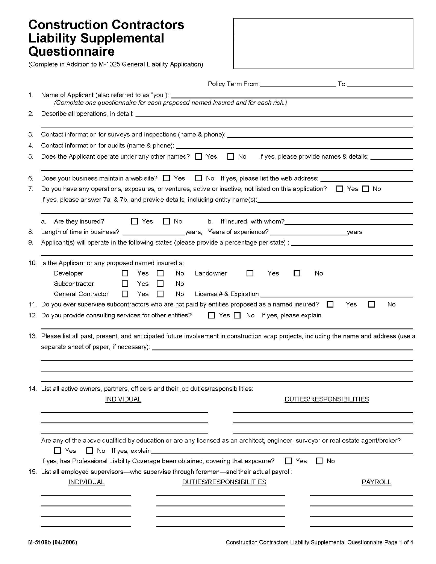## **Construction Contractors Liability Supplemental<br>Questionnaire**

(Complete in Addition to M-1025 General Liability Application)

| 1.  | Name of Applicant (also referred to as "you"): __________________________________<br>(Complete one questionnaire for each proposed named insured and for each risk.)                                                                                                   |
|-----|------------------------------------------------------------------------------------------------------------------------------------------------------------------------------------------------------------------------------------------------------------------------|
| 2.  |                                                                                                                                                                                                                                                                        |
| 3.  |                                                                                                                                                                                                                                                                        |
| 4.  |                                                                                                                                                                                                                                                                        |
| 5.  | Does the Applicant operate under any other names? $\Box$ Yes $\Box$ No If yes, please provide names & details:                                                                                                                                                         |
| 6.  | Does your business maintain a web site? $\Box$ Yes $\Box$ No If yes, please list the web address: $\Box$                                                                                                                                                               |
| 7.  | Do you have any operations, exposures, or ventures, active or inactive, not listed on this application? $\Box$ Yes $\Box$ No                                                                                                                                           |
|     |                                                                                                                                                                                                                                                                        |
|     | No b. If insured, with whom?<br>Solution 2.1 and 2.1 and 2.1 and 2.1 and 2.1 and 2.1 and 2.1 and 2.1 and 2.1 and 2.1 and 2.1 and 2.1 and 2.1 and 2.1 and 2.1 and 2.1 and 2.1 and 2.1 and 2.1 and 2.1 and 2.1 and 2.1 and 2.1 and<br>a. Are they insured?<br>$\Box$ Yes |
| 8.  | Length of time in business?<br>__________years; Years of experience?<br>_years                                                                                                                                                                                         |
| 9.  | Applicant(s) will operate in the following states (please provide a percentage per state) : __________________                                                                                                                                                         |
| 10. | Is the Applicant or any proposed named insured a:                                                                                                                                                                                                                      |
|     | Developer<br>No<br>Landowner<br>Yes.<br>No<br>Yes                                                                                                                                                                                                                      |
|     | Subcontractor<br>Yes<br>No<br>$\mathbf{L}$                                                                                                                                                                                                                             |
|     | General Contractor<br>Yes<br>License # & Expiration<br>No                                                                                                                                                                                                              |
| 11. | Do you ever supervise subcontractors who are not paid by entities proposed as a named insured?<br>No<br>Yes<br>$\Box$                                                                                                                                                  |
| 12. | Do you provide consulting services for other entities? $\Box$ Yes $\Box$ No If yes, please explain                                                                                                                                                                     |
| 13. | Please list all past, present, and anticipated future involvement in construction wrap projects, including the name and address (use a<br>separate sheet of paper, if necessary): ______                                                                               |
|     |                                                                                                                                                                                                                                                                        |
|     | 14. List all active owners, partners, officers and their job duties/responsibilities:                                                                                                                                                                                  |
|     | <b>INDIVIDUAL</b><br>DUTIES/RESPONSIBILITIES                                                                                                                                                                                                                           |
|     |                                                                                                                                                                                                                                                                        |
|     | Are any of the above qualified by education or are any licensed as an architect, engineer, surveyor or real estate agent/broker?<br>Yes No If yes, explain                                                                                                             |
|     | If yes, has Professional Liability Coverage been obtained, covering that exposure? $\Box$ Yes<br>l I No                                                                                                                                                                |
|     | 15. List all employed supervisors—who supervise through foremen—and their actual payroll:                                                                                                                                                                              |
|     | <b>INDIVIDUAL</b><br>DUTIES/RESPONSIBILITIES<br>PAYROLL                                                                                                                                                                                                                |
|     |                                                                                                                                                                                                                                                                        |
|     |                                                                                                                                                                                                                                                                        |
|     |                                                                                                                                                                                                                                                                        |
|     |                                                                                                                                                                                                                                                                        |
|     |                                                                                                                                                                                                                                                                        |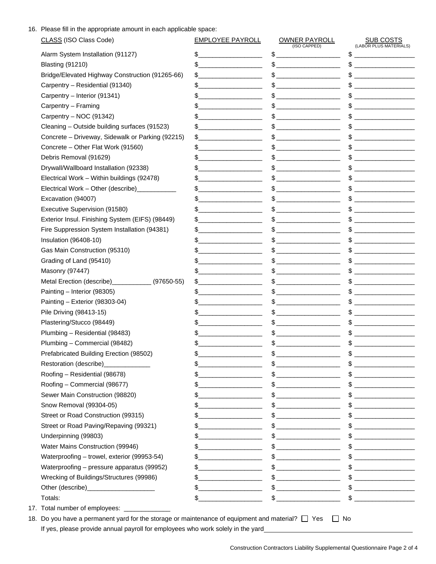16. Please fill in the appropriate amount in each applicable space:

| CLASS (ISO Class Code)                             | <b>EMPLOYEE PAYROLL</b>                                       | <b>OWNER PAYROLL</b><br>(ISO CAPPED)                                                                                                                                                                                                                                                                                                                                | <b>SUB COSTS</b><br>(LABOR PLUS MATERIALS)                                                                                                                                                                                                                                                                                                                          |
|----------------------------------------------------|---------------------------------------------------------------|---------------------------------------------------------------------------------------------------------------------------------------------------------------------------------------------------------------------------------------------------------------------------------------------------------------------------------------------------------------------|---------------------------------------------------------------------------------------------------------------------------------------------------------------------------------------------------------------------------------------------------------------------------------------------------------------------------------------------------------------------|
| Alarm System Installation (91127)                  | $\frac{1}{2}$                                                 | $\begin{picture}(20,10) \put(0,0){\vector(1,0){100}} \put(15,0){\vector(1,0){100}} \put(15,0){\vector(1,0){100}} \put(15,0){\vector(1,0){100}} \put(15,0){\vector(1,0){100}} \put(15,0){\vector(1,0){100}} \put(15,0){\vector(1,0){100}} \put(15,0){\vector(1,0){100}} \put(15,0){\vector(1,0){100}} \put(15,0){\vector(1,0){100}} \put(15,0){\vector(1,0){100}} \$ | \$<br><u> 1990 - Johann Barbara, mart</u>                                                                                                                                                                                                                                                                                                                           |
| <b>Blasting (91210)</b>                            | $\frac{1}{2}$                                                 |                                                                                                                                                                                                                                                                                                                                                                     | $\qquad \qquad \$$                                                                                                                                                                                                                                                                                                                                                  |
| Bridge/Elevated Highway Construction (91265-66)    | $\frac{1}{2}$                                                 |                                                                                                                                                                                                                                                                                                                                                                     | $\frac{1}{2}$                                                                                                                                                                                                                                                                                                                                                       |
| Carpentry - Residential (91340)                    | $\frac{1}{2}$                                                 |                                                                                                                                                                                                                                                                                                                                                                     | $\qquad \qquad \$$                                                                                                                                                                                                                                                                                                                                                  |
| Carpentry - Interior (91341)                       |                                                               |                                                                                                                                                                                                                                                                                                                                                                     | $\qquad \qquad \$$                                                                                                                                                                                                                                                                                                                                                  |
| Carpentry - Framing                                | $\frac{1}{2}$                                                 |                                                                                                                                                                                                                                                                                                                                                                     | $\qquad \qquad \$$                                                                                                                                                                                                                                                                                                                                                  |
| Carpentry - NOC (91342)                            | $\frac{1}{2}$                                                 |                                                                                                                                                                                                                                                                                                                                                                     | $\qquad \qquad \$$                                                                                                                                                                                                                                                                                                                                                  |
| Cleaning - Outside building surfaces (91523)       | $\frac{1}{2}$                                                 |                                                                                                                                                                                                                                                                                                                                                                     | $\frac{1}{2}$                                                                                                                                                                                                                                                                                                                                                       |
| Concrete - Driveway, Sidewalk or Parking (92215)   | $\frac{1}{2}$                                                 | $\frac{1}{2}$                                                                                                                                                                                                                                                                                                                                                       | $\frac{1}{2}$                                                                                                                                                                                                                                                                                                                                                       |
| Concrete - Other Flat Work (91560)                 | $\frac{1}{2}$                                                 |                                                                                                                                                                                                                                                                                                                                                                     | $\qquad \qquad \$$                                                                                                                                                                                                                                                                                                                                                  |
| Debris Removal (91629)                             | $\frac{1}{2}$                                                 | $\mathsf{\$}$                                                                                                                                                                                                                                                                                                                                                       | $\qquad \qquad \$$                                                                                                                                                                                                                                                                                                                                                  |
| Drywall/Wallboard Installation (92338)             | $\frac{1}{2}$                                                 |                                                                                                                                                                                                                                                                                                                                                                     |                                                                                                                                                                                                                                                                                                                                                                     |
| Electrical Work - Within buildings (92478)         | $\frac{1}{2}$                                                 |                                                                                                                                                                                                                                                                                                                                                                     | $\big\{\begin{array}{c} \end{array}\big\}$                                                                                                                                                                                                                                                                                                                          |
| Electrical Work - Other (describe) ____________    | $\frac{1}{2}$                                                 | $\frac{1}{2}$                                                                                                                                                                                                                                                                                                                                                       | $\frac{1}{2}$                                                                                                                                                                                                                                                                                                                                                       |
| Excavation (94007)                                 | $\frac{1}{2}$                                                 |                                                                                                                                                                                                                                                                                                                                                                     | $\frac{1}{2}$                                                                                                                                                                                                                                                                                                                                                       |
| Executive Supervision (91580)                      | $\frac{1}{2}$                                                 | $\frac{1}{2}$                                                                                                                                                                                                                                                                                                                                                       | $\qquad \qquad \$$                                                                                                                                                                                                                                                                                                                                                  |
| Exterior Insul. Finishing System (EIFS) (98449)    | $\frac{1}{2}$                                                 |                                                                                                                                                                                                                                                                                                                                                                     | $\frac{1}{2}$                                                                                                                                                                                                                                                                                                                                                       |
| Fire Suppression System Installation (94381)       | $\frac{1}{2}$                                                 | $\quad \  \  \, {\sf S} \underline{\hspace{1.5cm}}$                                                                                                                                                                                                                                                                                                                 | $\qquad \qquad \$$                                                                                                                                                                                                                                                                                                                                                  |
| Insulation (96408-10)                              |                                                               |                                                                                                                                                                                                                                                                                                                                                                     | $\qquad \qquad \$$                                                                                                                                                                                                                                                                                                                                                  |
| Gas Main Construction (95310)                      | $\frac{1}{2}$                                                 | $\frac{1}{2}$                                                                                                                                                                                                                                                                                                                                                       | $\qquad \qquad \$$                                                                                                                                                                                                                                                                                                                                                  |
| Grading of Land (95410)                            |                                                               |                                                                                                                                                                                                                                                                                                                                                                     | $\qquad \qquad \$$                                                                                                                                                                                                                                                                                                                                                  |
| <b>Masonry (97447)</b>                             | <u> 1950 - Johann John Stein, mars an Francisco (b. 1951)</u> | $\begin{picture}(20,10) \put(0,0){\vector(1,0){100}} \put(15,0){\vector(1,0){100}} \put(15,0){\vector(1,0){100}} \put(15,0){\vector(1,0){100}} \put(15,0){\vector(1,0){100}} \put(15,0){\vector(1,0){100}} \put(15,0){\vector(1,0){100}} \put(15,0){\vector(1,0){100}} \put(15,0){\vector(1,0){100}} \put(15,0){\vector(1,0){100}} \put(15,0){\vector(1,0){100}} \$ | $\begin{picture}(20,10) \put(0,0){\vector(1,0){100}} \put(15,0){\vector(1,0){100}} \put(15,0){\vector(1,0){100}} \put(15,0){\vector(1,0){100}} \put(15,0){\vector(1,0){100}} \put(15,0){\vector(1,0){100}} \put(15,0){\vector(1,0){100}} \put(15,0){\vector(1,0){100}} \put(15,0){\vector(1,0){100}} \put(15,0){\vector(1,0){100}} \put(15,0){\vector(1,0){100}} \$ |
| Metal Erection (describe) _____________ (97650-55) | $\frac{1}{2}$                                                 | $\frac{1}{2}$                                                                                                                                                                                                                                                                                                                                                       |                                                                                                                                                                                                                                                                                                                                                                     |
| Painting - Interior (98305)                        | $\frac{1}{2}$                                                 | $\mathsf{\$}$                                                                                                                                                                                                                                                                                                                                                       | $\qquad \qquad \$$                                                                                                                                                                                                                                                                                                                                                  |
| Painting - Exterior (98303-04)                     | $\frac{1}{2}$                                                 |                                                                                                                                                                                                                                                                                                                                                                     | $\qquad \qquad \$$                                                                                                                                                                                                                                                                                                                                                  |
| Pile Driving (98413-15)                            | $\frac{1}{2}$                                                 |                                                                                                                                                                                                                                                                                                                                                                     | $\frac{1}{2}$                                                                                                                                                                                                                                                                                                                                                       |
| Plastering/Stucco (98449)                          | \$                                                            |                                                                                                                                                                                                                                                                                                                                                                     | $\qquad \qquad \$$                                                                                                                                                                                                                                                                                                                                                  |
| Plumbing - Residential (98483)                     | the control of the control of the control of                  |                                                                                                                                                                                                                                                                                                                                                                     | $\begin{picture}(20,10) \put(0,0){\vector(1,0){100}} \put(15,0){\vector(1,0){100}} \put(15,0){\vector(1,0){100}} \put(15,0){\vector(1,0){100}} \put(15,0){\vector(1,0){100}} \put(15,0){\vector(1,0){100}} \put(15,0){\vector(1,0){100}} \put(15,0){\vector(1,0){100}} \put(15,0){\vector(1,0){100}} \put(15,0){\vector(1,0){100}} \put(15,0){\vector(1,0){100}} \$ |
| Plumbing - Commercial (98482)                      | \$                                                            | $\frac{1}{2}$                                                                                                                                                                                                                                                                                                                                                       | $\qquad \qquad \$$                                                                                                                                                                                                                                                                                                                                                  |
| Prefabricated Building Erection (98502)            |                                                               | $\begin{picture}(20,10) \put(0,0){\vector(1,0){100}} \put(15,0){\vector(1,0){100}} \put(15,0){\vector(1,0){100}} \put(15,0){\vector(1,0){100}} \put(15,0){\vector(1,0){100}} \put(15,0){\vector(1,0){100}} \put(15,0){\vector(1,0){100}} \put(15,0){\vector(1,0){100}} \put(15,0){\vector(1,0){100}} \put(15,0){\vector(1,0){100}} \put(15,0){\vector(1,0){100}} \$ | <u>and the state of the state of the state</u>                                                                                                                                                                                                                                                                                                                      |
| Restoration (describe)_____________                |                                                               |                                                                                                                                                                                                                                                                                                                                                                     | $\qquad \qquad \mathsf{S} \qquad \qquad \qquad$                                                                                                                                                                                                                                                                                                                     |
| Roofing - Residential (98678)                      | $\mathbb S$                                                   |                                                                                                                                                                                                                                                                                                                                                                     | $\qquad \qquad \$$                                                                                                                                                                                                                                                                                                                                                  |
| Roofing - Commercial (98677)                       | $\frac{1}{2}$                                                 |                                                                                                                                                                                                                                                                                                                                                                     | $\frac{1}{2}$                                                                                                                                                                                                                                                                                                                                                       |
| Sewer Main Construction (98820)                    | $\frac{1}{2}$                                                 | $\frac{1}{2}$                                                                                                                                                                                                                                                                                                                                                       |                                                                                                                                                                                                                                                                                                                                                                     |
| Snow Removal (99304-05)                            | $\sim$                                                        | $\frac{1}{2}$                                                                                                                                                                                                                                                                                                                                                       | $\frac{1}{2}$                                                                                                                                                                                                                                                                                                                                                       |
| Street or Road Construction (99315)                | $\frac{1}{2}$                                                 |                                                                                                                                                                                                                                                                                                                                                                     |                                                                                                                                                                                                                                                                                                                                                                     |
| Street or Road Paving/Repaving (99321)             | $\frac{1}{2}$                                                 | $\frac{1}{2}$                                                                                                                                                                                                                                                                                                                                                       | $\frac{1}{2}$                                                                                                                                                                                                                                                                                                                                                       |
| Underpinning (99803)                               | $\frac{1}{2}$                                                 |                                                                                                                                                                                                                                                                                                                                                                     | $\frac{1}{2}$                                                                                                                                                                                                                                                                                                                                                       |
| Water Mains Construction (99946)                   | $\frac{1}{2}$                                                 | $\qquad \qquad \$$                                                                                                                                                                                                                                                                                                                                                  | $\begin{array}{c} \updownarrow \\ \downarrow \end{array}$                                                                                                                                                                                                                                                                                                           |
| Waterproofing - trowel, exterior (99953-54)        |                                                               |                                                                                                                                                                                                                                                                                                                                                                     | $\qquad \qquad \$$                                                                                                                                                                                                                                                                                                                                                  |
| Waterproofing - pressure apparatus (99952)         | $\frac{1}{2}$                                                 | $\frac{1}{2}$                                                                                                                                                                                                                                                                                                                                                       | $\frac{1}{2}$                                                                                                                                                                                                                                                                                                                                                       |
| Wrecking of Buildings/Structures (99986)           | $\frac{1}{2}$                                                 | $\mathsf{\$}$                                                                                                                                                                                                                                                                                                                                                       | $\qquad \qquad \$$                                                                                                                                                                                                                                                                                                                                                  |
|                                                    | $\frac{1}{2}$                                                 |                                                                                                                                                                                                                                                                                                                                                                     |                                                                                                                                                                                                                                                                                                                                                                     |
| Totals:                                            | \$                                                            |                                                                                                                                                                                                                                                                                                                                                                     | $\begin{array}{c} \updownarrow \\ \downarrow \end{array}$                                                                                                                                                                                                                                                                                                           |
| 17. Total number of employees: ______________      |                                                               |                                                                                                                                                                                                                                                                                                                                                                     |                                                                                                                                                                                                                                                                                                                                                                     |

18. Do you have a permanent yard for the storage or maintenance of equipment and material?  $\Box$  Yes  $\Box$  No If yes, please provide annual payroll for employees who work solely in the yard\_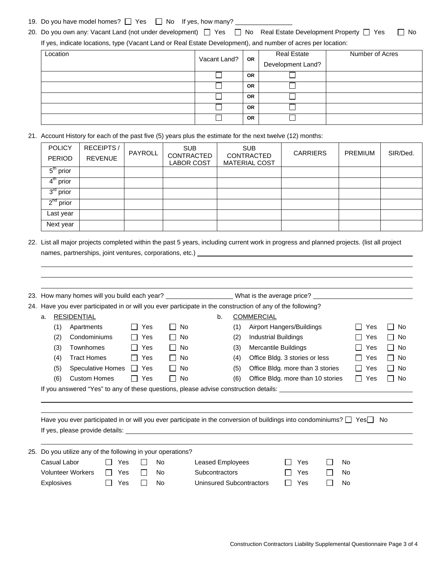## 19. Do you have model homes?  $\Box$  Yes  $\Box$  No If yes, how many?  $\Box$

20. Do you own any: Vacant Land (not under development)  $\Box$  Yes  $\Box$  No Real Estate Development Property  $\Box$  Yes  $\Box$  No If yes, indicate locations, type (Vacant Land or Real Estate Development), and number of acres per location:

| Location | Vacant Land?   OR |           | <b>Real Estate</b> | Number of Acres |
|----------|-------------------|-----------|--------------------|-----------------|
|          |                   |           | Development Land?  |                 |
|          |                   | <b>OR</b> |                    |                 |
|          |                   | <b>OR</b> |                    |                 |
|          |                   | OR        |                    |                 |
|          |                   | <b>OR</b> |                    |                 |
|          |                   | <b>OR</b> |                    |                 |

21. Account History for each of the past five (5) years plus the estimate for the next twelve (12) months:

| <b>POLICY</b><br><b>PERIOD</b> | RECEIPTS/<br><b>REVENUE</b> | PAYROLL | <b>SUB</b><br>CONTRACTED<br>LABOR COST | <b>SUB</b><br>CONTRACTED<br><b>MATERIAL COST</b> | <b>CARRIERS</b> | <b>PREMIUM</b> | SIR/Ded. |
|--------------------------------|-----------------------------|---------|----------------------------------------|--------------------------------------------------|-----------------|----------------|----------|
| $5th$ prior                    |                             |         |                                        |                                                  |                 |                |          |
| $4th$ prior                    |                             |         |                                        |                                                  |                 |                |          |
| $3rd$ prior                    |                             |         |                                        |                                                  |                 |                |          |
| $2^{nd}$ prior                 |                             |         |                                        |                                                  |                 |                |          |
| Last year                      |                             |         |                                        |                                                  |                 |                |          |
| Next year                      |                             |         |                                        |                                                  |                 |                |          |

22. List all major projects completed within the past 5 years, including current work in progress and planned projects. (list all project names, partnerships, joint ventures, corporations, etc.) [100] [200] [200] [200] [200] [200] [200] [200] [200] [

|     |                                                                                                                | 23. How many homes will you build each year? _____________________What is the average price? _____________                     |  |     |              |              |                   |                          |     |                                  |                                   |     |  |     |            |           |
|-----|----------------------------------------------------------------------------------------------------------------|--------------------------------------------------------------------------------------------------------------------------------|--|-----|--------------|--------------|-------------------|--------------------------|-----|----------------------------------|-----------------------------------|-----|--|-----|------------|-----------|
|     | 24. Have you ever participated in or will you ever participate in the construction of any of the following?    |                                                                                                                                |  |     |              |              |                   |                          |     |                                  |                                   |     |  |     |            |           |
|     | <b>RESIDENTIAL</b><br>a.                                                                                       |                                                                                                                                |  |     |              | b.           | <b>COMMERCIAL</b> |                          |     |                                  |                                   |     |  |     |            |           |
|     |                                                                                                                | (1)<br>Apartments                                                                                                              |  |     | Yes          |              | No                |                          | (1) | Airport Hangers/Buildings        |                                   |     |  |     | Yes        | l No      |
|     |                                                                                                                | Condominiums<br>(2)                                                                                                            |  |     | Yes          |              | No                |                          | (2) | <b>Industrial Buildings</b>      |                                   |     |  |     | Yes        | l I No    |
|     |                                                                                                                | (3)<br>Townhomes                                                                                                               |  |     | Yes          | $\mathbf{1}$ | No                |                          | (3) | Mercantile Buildings             |                                   |     |  |     | Yes        | $\Box$ No |
|     |                                                                                                                | <b>Tract Homes</b><br>(4)                                                                                                      |  |     | Yes          | $\Box$       | No.               |                          | (4) | Office Bldg. 3 stories or less   |                                   |     |  |     | l I Yes    | l I No    |
|     |                                                                                                                | <b>Speculative Homes</b><br>(5)                                                                                                |  |     | II Yes       | $\Box$       | No.               |                          | (5) | Office Bldg. more than 3 stories |                                   |     |  |     | l I Yes    | l I No    |
|     |                                                                                                                | <b>Custom Homes</b><br>(6)                                                                                                     |  |     | $\Box$ Yes   | $\Box$       | No                |                          | (6) |                                  | Office Bldg. more than 10 stories |     |  |     | $\Box$ Yes | l I No    |
|     | If you answered "Yes" to any of these questions, please advise construction details: _________________________ |                                                                                                                                |  |     |              |              |                   |                          |     |                                  |                                   |     |  |     |            |           |
|     |                                                                                                                |                                                                                                                                |  |     |              |              |                   |                          |     |                                  |                                   |     |  |     |            |           |
|     |                                                                                                                |                                                                                                                                |  |     |              |              |                   |                          |     |                                  |                                   |     |  |     |            |           |
|     |                                                                                                                | Have you ever participated in or will you ever participate in the conversion of buildings into condominiums? $\Box$ Yes $\Box$ |  |     |              |              |                   |                          |     |                                  |                                   |     |  |     |            | No.       |
|     |                                                                                                                |                                                                                                                                |  |     |              |              |                   |                          |     |                                  |                                   |     |  |     |            |           |
|     |                                                                                                                |                                                                                                                                |  |     |              |              |                   |                          |     |                                  |                                   |     |  |     |            |           |
| 25. |                                                                                                                | Do you utilize any of the following in your operations?                                                                        |  |     |              |              |                   |                          |     |                                  |                                   |     |  |     |            |           |
|     |                                                                                                                | Casual Labor                                                                                                                   |  | Yes | $\mathsf{L}$ | No           |                   | Leased Employees         |     |                                  |                                   | Yes |  | No  |            |           |
|     |                                                                                                                | <b>Volunteer Workers</b>                                                                                                       |  | Yes | $\Box$       | No           |                   | <b>Subcontractors</b>    |     |                                  |                                   | Yes |  | No. |            |           |
|     |                                                                                                                | Explosives                                                                                                                     |  | Yes | $\perp$      | No           |                   | Uninsured Subcontractors |     |                                  |                                   | Yes |  | No. |            |           |
|     |                                                                                                                |                                                                                                                                |  |     |              |              |                   |                          |     |                                  |                                   |     |  |     |            |           |